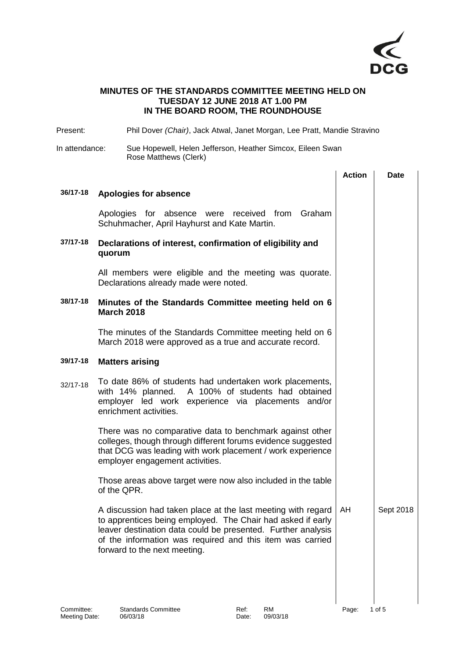

## **MINUTES OF THE STANDARDS COMMITTEE MEETING HELD ON TUESDAY 12 JUNE 2018 AT 1.00 PM IN THE BOARD ROOM, THE ROUNDHOUSE**

Present: Phil Dover *(Chair)*, Jack Atwal, Janet Morgan, Lee Pratt, Mandie Stravino

## In attendance: Sue Hopewell, Helen Jefferson, Heather Simcox, Eileen Swan Rose Matthews (Clerk)

|          |                                                                                                                                                                                                                                                                                          | <b>Action</b> | Date      |
|----------|------------------------------------------------------------------------------------------------------------------------------------------------------------------------------------------------------------------------------------------------------------------------------------------|---------------|-----------|
| 36/17-18 | Apologies for absence                                                                                                                                                                                                                                                                    |               |           |
|          | Apologies for absence were received from Graham<br>Schuhmacher, April Hayhurst and Kate Martin.                                                                                                                                                                                          |               |           |
| 37/17-18 | Declarations of interest, confirmation of eligibility and<br>quorum                                                                                                                                                                                                                      |               |           |
|          | All members were eligible and the meeting was quorate.<br>Declarations already made were noted.                                                                                                                                                                                          |               |           |
| 38/17-18 | Minutes of the Standards Committee meeting held on 6<br><b>March 2018</b>                                                                                                                                                                                                                |               |           |
|          | The minutes of the Standards Committee meeting held on 6<br>March 2018 were approved as a true and accurate record.                                                                                                                                                                      |               |           |
| 39/17-18 | <b>Matters arising</b>                                                                                                                                                                                                                                                                   |               |           |
| 32/17-18 | To date 86% of students had undertaken work placements,<br>with 14% planned. A 100% of students had obtained<br>employer led work experience via placements and/or<br>enrichment activities.                                                                                             |               |           |
|          | There was no comparative data to benchmark against other<br>colleges, though through different forums evidence suggested<br>that DCG was leading with work placement / work experience<br>employer engagement activities.                                                                |               |           |
|          | Those areas above target were now also included in the table<br>of the QPR.                                                                                                                                                                                                              |               |           |
|          | A discussion had taken place at the last meeting with regard<br>to apprentices being employed. The Chair had asked if early<br>leaver destination data could be presented. Further analysis<br>of the information was required and this item was carried<br>forward to the next meeting. | AH            | Sept 2018 |
|          |                                                                                                                                                                                                                                                                                          |               |           |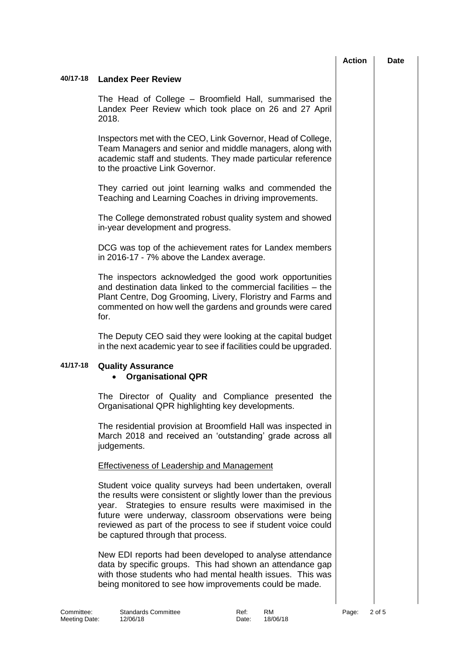|            |                                                                                                                                                                                                                                                                                                                                                               | <b>Action</b> |        | <b>Date</b> |
|------------|---------------------------------------------------------------------------------------------------------------------------------------------------------------------------------------------------------------------------------------------------------------------------------------------------------------------------------------------------------------|---------------|--------|-------------|
| 40/17-18   | <b>Landex Peer Review</b>                                                                                                                                                                                                                                                                                                                                     |               |        |             |
|            | The Head of College – Broomfield Hall, summarised the<br>Landex Peer Review which took place on 26 and 27 April<br>2018.                                                                                                                                                                                                                                      |               |        |             |
|            | Inspectors met with the CEO, Link Governor, Head of College,<br>Team Managers and senior and middle managers, along with<br>academic staff and students. They made particular reference<br>to the proactive Link Governor.                                                                                                                                    |               |        |             |
|            | They carried out joint learning walks and commended the<br>Teaching and Learning Coaches in driving improvements.                                                                                                                                                                                                                                             |               |        |             |
|            | The College demonstrated robust quality system and showed<br>in-year development and progress.                                                                                                                                                                                                                                                                |               |        |             |
|            | DCG was top of the achievement rates for Landex members<br>in 2016-17 - 7% above the Landex average.                                                                                                                                                                                                                                                          |               |        |             |
|            | The inspectors acknowledged the good work opportunities<br>and destination data linked to the commercial facilities – the<br>Plant Centre, Dog Grooming, Livery, Floristry and Farms and<br>commented on how well the gardens and grounds were cared<br>for.                                                                                                  |               |        |             |
|            | The Deputy CEO said they were looking at the capital budget<br>in the next academic year to see if facilities could be upgraded.                                                                                                                                                                                                                              |               |        |             |
| 41/17-18   | <b>Quality Assurance</b><br><b>Organisational QPR</b>                                                                                                                                                                                                                                                                                                         |               |        |             |
|            | The Director of Quality and Compliance presented the<br>Organisational QPR highlighting key developments.                                                                                                                                                                                                                                                     |               |        |             |
|            | The residential provision at Broomfield Hall was inspected in<br>March 2018 and received an 'outstanding' grade across all<br>judgements.                                                                                                                                                                                                                     |               |        |             |
|            | <b>Effectiveness of Leadership and Management</b>                                                                                                                                                                                                                                                                                                             |               |        |             |
|            | Student voice quality surveys had been undertaken, overall<br>the results were consistent or slightly lower than the previous<br>Strategies to ensure results were maximised in the<br>year.<br>future were underway, classroom observations were being<br>reviewed as part of the process to see if student voice could<br>be captured through that process. |               |        |             |
|            | New EDI reports had been developed to analyse attendance<br>data by specific groups. This had shown an attendance gap<br>with those students who had mental health issues. This was<br>being monitored to see how improvements could be made.                                                                                                                 |               |        |             |
| Committee: | <b>Standards Committee</b><br><b>RM</b><br>Ref:                                                                                                                                                                                                                                                                                                               | Page:         | 2 of 5 |             |

Meeting Date: 12/06/18 1206/18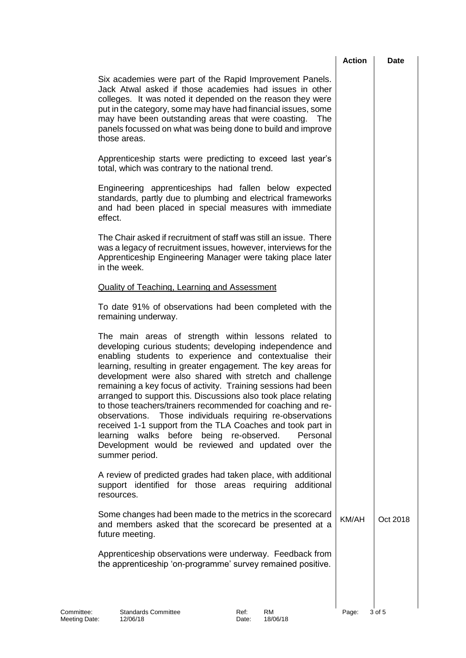|                             |                                                                                                                                                                                                                                                                                                                                                                                                                                                                                                                                                                                                                                                                                                                                                                        | <b>Action</b> | Date     |
|-----------------------------|------------------------------------------------------------------------------------------------------------------------------------------------------------------------------------------------------------------------------------------------------------------------------------------------------------------------------------------------------------------------------------------------------------------------------------------------------------------------------------------------------------------------------------------------------------------------------------------------------------------------------------------------------------------------------------------------------------------------------------------------------------------------|---------------|----------|
|                             | Six academies were part of the Rapid Improvement Panels.<br>Jack Atwal asked if those academies had issues in other<br>colleges. It was noted it depended on the reason they were<br>put in the category, some may have had financial issues, some<br>may have been outstanding areas that were coasting.<br><b>The</b><br>panels focussed on what was being done to build and improve<br>those areas.                                                                                                                                                                                                                                                                                                                                                                 |               |          |
|                             | Apprenticeship starts were predicting to exceed last year's<br>total, which was contrary to the national trend.                                                                                                                                                                                                                                                                                                                                                                                                                                                                                                                                                                                                                                                        |               |          |
|                             | Engineering apprenticeships had fallen below expected<br>standards, partly due to plumbing and electrical frameworks<br>and had been placed in special measures with immediate<br>effect.                                                                                                                                                                                                                                                                                                                                                                                                                                                                                                                                                                              |               |          |
|                             | The Chair asked if recruitment of staff was still an issue. There<br>was a legacy of recruitment issues, however, interviews for the<br>Apprenticeship Engineering Manager were taking place later<br>in the week.                                                                                                                                                                                                                                                                                                                                                                                                                                                                                                                                                     |               |          |
|                             | <b>Quality of Teaching, Learning and Assessment</b>                                                                                                                                                                                                                                                                                                                                                                                                                                                                                                                                                                                                                                                                                                                    |               |          |
|                             | To date 91% of observations had been completed with the<br>remaining underway.                                                                                                                                                                                                                                                                                                                                                                                                                                                                                                                                                                                                                                                                                         |               |          |
|                             | The main areas of strength within lessons related to<br>developing curious students; developing independence and<br>enabling students to experience and contextualise their<br>learning, resulting in greater engagement. The key areas for<br>development were also shared with stretch and challenge<br>remaining a key focus of activity. Training sessions had been<br>arranged to support this. Discussions also took place relating<br>to those teachers/trainers recommended for coaching and re-<br>observations. Those individuals requiring re-observations<br>received 1-1 support from the TLA Coaches and took part in<br>learning walks before<br>being re-observed.<br>Personal<br>Development would be reviewed and updated over the<br>summer period. |               |          |
|                             | A review of predicted grades had taken place, with additional<br>support identified for those areas requiring additional<br>resources.                                                                                                                                                                                                                                                                                                                                                                                                                                                                                                                                                                                                                                 |               |          |
|                             | Some changes had been made to the metrics in the scorecard<br>and members asked that the scorecard be presented at a<br>future meeting.                                                                                                                                                                                                                                                                                                                                                                                                                                                                                                                                                                                                                                | KM/AH         | Oct 2018 |
|                             | Apprenticeship observations were underway. Feedback from<br>the apprenticeship 'on-programme' survey remained positive.                                                                                                                                                                                                                                                                                                                                                                                                                                                                                                                                                                                                                                                |               |          |
| Committee:<br>Meeting Date: | RM<br><b>Standards Committee</b><br>Ref:<br>18/06/18<br>12/06/18<br>Date:                                                                                                                                                                                                                                                                                                                                                                                                                                                                                                                                                                                                                                                                                              | Page:         | 3 of 5   |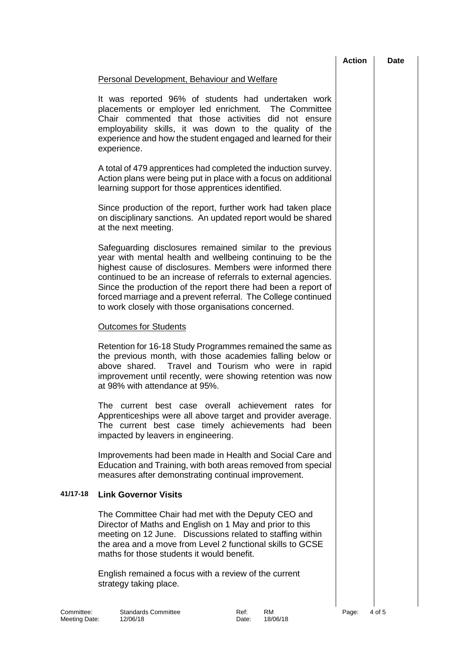|                             |                                                                                                                                                                                                                                                                                                                                                                                                                                                 | <b>Action</b> | <b>Date</b> |
|-----------------------------|-------------------------------------------------------------------------------------------------------------------------------------------------------------------------------------------------------------------------------------------------------------------------------------------------------------------------------------------------------------------------------------------------------------------------------------------------|---------------|-------------|
|                             | Personal Development, Behaviour and Welfare                                                                                                                                                                                                                                                                                                                                                                                                     |               |             |
|                             | It was reported 96% of students had undertaken work<br>placements or employer led enrichment. The Committee<br>Chair commented that those activities did not ensure<br>employability skills, it was down to the quality of the<br>experience and how the student engaged and learned for their<br>experience.                                                                                                                                   |               |             |
|                             | A total of 479 apprentices had completed the induction survey.<br>Action plans were being put in place with a focus on additional<br>learning support for those apprentices identified.                                                                                                                                                                                                                                                         |               |             |
|                             | Since production of the report, further work had taken place<br>on disciplinary sanctions. An updated report would be shared<br>at the next meeting.                                                                                                                                                                                                                                                                                            |               |             |
|                             | Safeguarding disclosures remained similar to the previous<br>year with mental health and wellbeing continuing to be the<br>highest cause of disclosures. Members were informed there<br>continued to be an increase of referrals to external agencies.<br>Since the production of the report there had been a report of<br>forced marriage and a prevent referral. The College continued<br>to work closely with those organisations concerned. |               |             |
|                             | <b>Outcomes for Students</b>                                                                                                                                                                                                                                                                                                                                                                                                                    |               |             |
|                             | Retention for 16-18 Study Programmes remained the same as<br>the previous month, with those academies falling below or<br>above shared. Travel and Tourism who were in rapid<br>improvement until recently, were showing retention was now<br>at 98% with attendance at 95%.                                                                                                                                                                    |               |             |
|                             | The current best case overall achievement rates for<br>Apprenticeships were all above target and provider average.<br>The current best case timely achievements had been<br>impacted by leavers in engineering.                                                                                                                                                                                                                                 |               |             |
|                             | Improvements had been made in Health and Social Care and<br>Education and Training, with both areas removed from special<br>measures after demonstrating continual improvement.                                                                                                                                                                                                                                                                 |               |             |
| 41/17-18                    | <b>Link Governor Visits</b>                                                                                                                                                                                                                                                                                                                                                                                                                     |               |             |
|                             | The Committee Chair had met with the Deputy CEO and<br>Director of Maths and English on 1 May and prior to this<br>meeting on 12 June. Discussions related to staffing within<br>the area and a move from Level 2 functional skills to GCSE<br>maths for those students it would benefit.                                                                                                                                                       |               |             |
|                             | English remained a focus with a review of the current<br>strategy taking place.                                                                                                                                                                                                                                                                                                                                                                 |               |             |
| Committee:<br>Meeting Date: | <b>Standards Committee</b><br>Ref:<br><b>RM</b><br>18/06/18<br>12/06/18<br>Date:                                                                                                                                                                                                                                                                                                                                                                | Page:         | 4 of 5      |